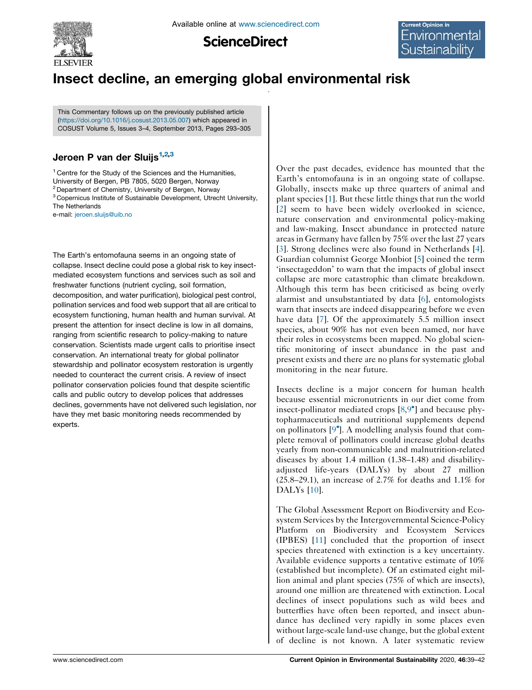

**ScienceDirect** 

# Insect decline, an emerging global environmental risk

This Commentary follows up on the previously published article ([https://doi.org/10.1016/j.cosust.2013.05.007\)](https://doi.org/10.1016/j.cosust.2013.05.007) which appeared in COSUST Volume 5, Issues 3–4, September 2013, Pages 293–305

### Jeroen P van der Sluijs<sup>1,2,3</sup>

<sup>1</sup> Centre for the Study of the Sciences and the Humanities, University of Bergen, PB 7805, 5020 Bergen, Norway

<sup>2</sup> Department of Chemistry, University of Bergen, Norway

<sup>3</sup> Copernicus Institute of Sustainable Development, Utrecht University, The Netherlands

e-mail: [jeroen.sluijs@uib.no](mailto:jeroen.sluijs@uib.no)

The Earth's entomofauna seems in an ongoing state of collapse. Insect decline could pose a global risk to key insectmediated ecosystem functions and services such as soil and freshwater functions (nutrient cycling, soil formation, decomposition, and water purification), biological pest control, pollination services and food web support that all are critical to ecosystem functioning, human health and human survival. At present the attention for insect decline is low in all domains, ranging from scientific research to policy-making to nature conservation. Scientists made urgent calls to prioritise insect conservation. An international treaty for global pollinator stewardship and pollinator ecosystem restoration is urgently needed to counteract the current crisis. A review of insect pollinator conservation policies found that despite scientific calls and public outcry to develop polices that addresses declines, governments have not delivered such legislation, nor have they met basic monitoring needs recommended by experts.

Over the past decades, evidence has mounted that the Earth's entomofauna is in an ongoing state of collapse. Globally, insects make up three quarters of animal and plant species [[1\]](#page-2-0). But these little things that run the world [[2](#page-2-0)] seem to have been widely overlooked in science, nature conservation and environmental policy-making and law-making. Insect abundance in protected nature areas in Germany have fallen by 75% over the last 27 years [[3](#page-2-0)]. Strong declines were also found in Netherlands [[4\]](#page-2-0). Guardian columnist George Monbiot [\[5](#page-2-0)] coined the term 'insectageddon' to warn that the impacts of global insect collapse are more catastrophic than climate breakdown. Although this term has been criticised as being overly alarmist and unsubstantiated by data [\[6](#page-2-0)], entomologists warn that insects are indeed disappearing before we even have data [\[7](#page-2-0)]. Of the approximately 5.5 million insect species, about 90% has not even been named, nor have their roles in ecosystems been mapped. No global scientific monitoring of insect abundance in the past and present exists and there are no plans for systematic global monitoring in the near future.

Insects decline is a major concern for human health because essential micronutrients in our diet come from insect-pollinator mediated crops [\[8](#page-2-0),9 [\] and because phy](#page-2-0)topharmaceuticals and nutritional supplements depend on pollinators [\[9](#page-2-0) ]. A modelling analysis found that complete removal of pollinators could increase global deaths yearly from non-communicable and malnutrition-related diseases by about 1.4 million (1.38–1.48) and disabilityadjusted life-years (DALYs) by about 27 million (25.8–29.1), an increase of 2.7% for deaths and 1.1% for DALYs [[10\]](#page-2-0).

The Global Assessment Report on Biodiversity and Ecosystem Services by the Intergovernmental Science-Policy Platform on Biodiversity and Ecosystem Services (IPBES) [[11\]](#page-2-0) concluded that the proportion of insect species threatened with extinction is a key uncertainty. Available evidence supports a tentative estimate of 10% (established but incomplete). Of an estimated eight million animal and plant species (75% of which are insects), around one million are threatened with extinction. Local declines of insect populations such as wild bees and butterflies have often been reported, and insect abundance has declined very rapidly in some places even without large-scale land-use change, but the global extent of decline is not known. A later systematic review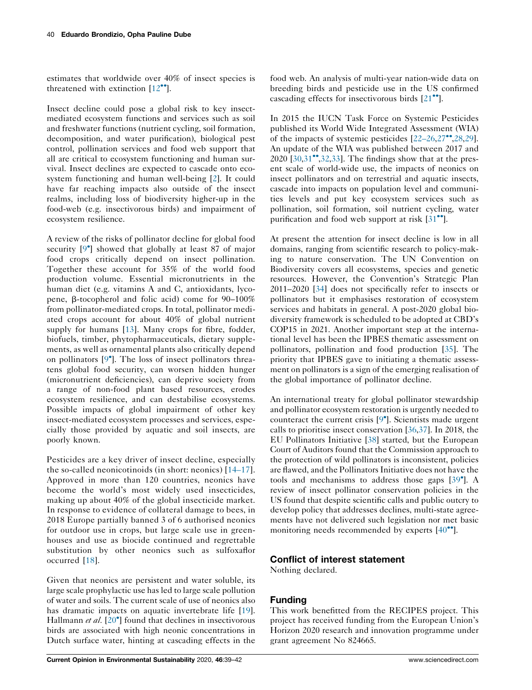estimates that worldwide over 40% of insect species is threatened with extinction  $[12\text{°}$  $[12\text{°}$  $[12\text{°}$ .

Insect decline could pose a global risk to key insectmediated ecosystem functions and services such as soil and freshwater functions (nutrient cycling, soil formation, decomposition, and water purification), biological pest control, pollination services and food web support that all are critical to ecosystem functioning and human survival. Insect declines are expected to cascade onto ecosystem functioning and human well-being [[2\]](#page-2-0). It could have far reaching impacts also outside of the insect realms, including loss of biodiversity higher-up in the food-web (e.g. insectivorous birds) and impairment of ecosystem resilience.

A review of the risks of pollinator decline for global food security [\[9](#page-2-0) ] showed that globally at least 87 of major food crops critically depend on insect pollination. Together these account for 35% of the world food production volume. Essential micronutrients in the human diet (e.g. vitamins A and C, antioxidants, lycopene, b-tocopherol and folic acid) come for 90–100% from pollinator-mediated crops. In total, pollinator mediated crops account for about 40% of global nutrient supply for humans [\[13](#page-2-0)]. Many crops for fibre, fodder, biofuels, timber, phytopharmaceuticals, dietary supplements, as well as ornamental plants also critically depend on pollinators [[9](#page-2-0) ]. The loss of insect pollinators threatens global food security, can worsen hidden hunger (micronutrient deficiencies), can deprive society from a range of non-food plant based resources, erodes ecosystem resilience, and can destabilise ecosystems. Possible impacts of global impairment of other key insect-mediated ecosystem processes and services, especially those provided by aquatic and soil insects, are poorly known.

Pesticides are a key driver of insect decline, especially the so-called neonicotinoids (in short: neonics) [\[14–17](#page-2-0)]. Approved in more than 120 countries, neonics have become the world's most widely used insecticides, making up about 40% of the global insecticide market. In response to evidence of collateral damage to bees, in 2018 Europe partially banned 3 of 6 authorised neonics for outdoor use in crops, but large scale use in greenhouses and use as biocide continued and regrettable substitution by other neonics such as sulfoxaflor occurred [[18](#page-2-0)].

Given that neonics are persistent and water soluble, its large scale prophylactic use has led to large scale pollution of water and soils. The current scale of use of neonics also has dramatic impacts on aquatic invertebrate life [\[19](#page-2-0)]. Hallmann et al. [[20](#page-2-0)<sup>°</sup>] found that declines in insectivorous birds are associated with high neonic concentrations in Dutch surface water, hinting at cascading effects in the

food web. An analysis of multi-year nation-wide data on breeding birds and pesticide use in the US confirmed cascading effects for insectivorous birds  $[21$  $[21$ <sup> $\bullet$ </sup>].

In 2015 the IUCN Task Force on Systemic Pesticides published its World Wide Integrated Assessment (WIA) of the impacts of systemic pesticides  $[22-26,27^{\bullet},28,29]$  $[22-26,27^{\bullet},28,29]$  $[22-26,27^{\bullet},28,29]$  $[22-26,27^{\bullet},28,29]$  $[22-26,27^{\bullet},28,29]$ . An update of the WIA was published between 2017 and  $2020$  [\[30](#page-3-0),[31](#page-3-0)<sup> $\bullet$ </sup>[,32](#page-3-0),[33\]](#page-3-0). The findings show that at the present scale of world-wide use, the impacts of neonics on insect pollinators and on terrestrial and aquatic insects, cascade into impacts on population level and communities levels and put key ecosystem services such as pollination, soil formation, soil nutrient cycling, water purification and food web support at risk  $[31$ <sup>\*</sup>.

At present the attention for insect decline is low in all domains, ranging from scientific research to policy-making to nature conservation. The UN Convention on Biodiversity covers all ecosystems, species and genetic resources. However, the Convention's Strategic Plan 2011–2020 [[34](#page-3-0)] does not specifically refer to insects or pollinators but it emphasises restoration of ecosystem services and habitats in general. A post-2020 global biodiversity framework is scheduled to be adopted at CBD's COP15 in 2021. Another important step at the international level has been the IPBES thematic assessment on pollinators, pollination and food production [\[35](#page-3-0)]. The priority that IPBES gave to initiating a thematic assessment on pollinators is a sign of the emerging realisation of the global importance of pollinator decline.

An international treaty for global pollinator stewardship and pollinator ecosystem restoration is urgently needed to counteract the current crisis [[9](#page-2-0) ]. Scientists made urgent calls to prioritise insect conservation [[36,37](#page-3-0)]. In 2018, the EU Pollinators Initiative [\[38](#page-3-0)] started, but the European Court of Auditors found that the Commission approach to the protection of wild pollinators is inconsistent, policies are flawed, and the Pollinators Initiative does not have the tools and mechanisms to address those gaps [\[39](#page-3-0) ]. A review of insect pollinator conservation policies in the US found that despite scientific calls and public outcry to develop policy that addresses declines, multi-state agreements have not delivered such legislation nor met basic monitoring needs recommended by experts  $[40^{\bullet\bullet}].$  $[40^{\bullet\bullet}].$  $[40^{\bullet\bullet}].$ 

#### Conflict of interest statement

Nothing declared.

## Funding

This work benefitted from the RECIPES project. This project has received funding from the European Union's Horizon 2020 research and innovation programme under grant agreement No 824665.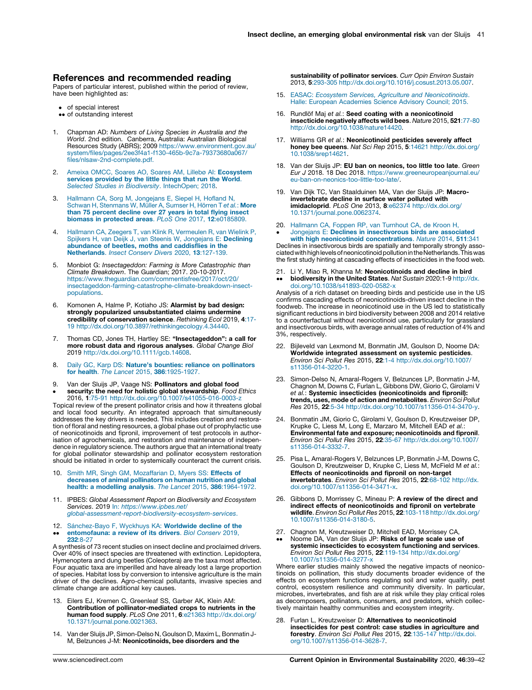#### <span id="page-2-0"></span>References and recommended reading

Papers of particular interest, published within the period of review, have been highlighted as:

- of special interest
- •• of outstanding interest
- 1. Chapman AD: Numbers of Living Species in Australia and the *World.* 2nd edition. Canberra, Australia: Australian Biological<br>Resources Study (ABRS); 2009 [https://www.environment.gov.au/](https://www.environment.gov.au/system/files/pages/2ee3f4a1-f130-465b-9c7a-79373680a067/files/nlsaw-2nd-complete.pdf) [system/files/pages/2ee3f4a1-f130-465b-9c7a-79373680a067/](https://www.environment.gov.au/system/files/pages/2ee3f4a1-f130-465b-9c7a-79373680a067/files/nlsaw-2nd-complete.pdf) [files/nlsaw-2nd-complete.pdf](https://www.environment.gov.au/system/files/pages/2ee3f4a1-f130-465b-9c7a-79373680a067/files/nlsaw-2nd-complete.pdf).
- [Ameixa OMCC, Soares AO, Soares AM, Lillebø AI:](http://refhub.elsevier.com/S1877-3435(20)30067-1/sbref0010) Ecosystem [services provided by the little things that run the World](http://refhub.elsevier.com/S1877-3435(20)30067-1/sbref0010). [Selected Studies in Biodiversity](http://refhub.elsevier.com/S1877-3435(20)30067-1/sbref0010). IntechOpen; 2018.
- 3. [Hallmann CA, Sorg M, Jongejans E, Siepel H, Hofland N,](http://refhub.elsevier.com/S1877-3435(20)30067-1/sbref0015)<br>Schwan H, Stenmans W, Müller A, Sumser H, Hörren T e*t al.*: More [than 75 percent decline over 27 years in total flying insect](http://refhub.elsevier.com/S1877-3435(20)30067-1/sbref0015) [biomass in protected areas](http://refhub.elsevier.com/S1877-3435(20)30067-1/sbref0015). PLoS One 2017, 12:e0185809.
- 4. [Hallmann CA, Zeegers T, van Klink R, Vermeulen R, van Wielink P,](http://refhub.elsevier.com/S1877-3435(20)30067-1/sbref0020) [Spijkers H, van Deijk J, van Steenis W, Jongejans E:](http://refhub.elsevier.com/S1877-3435(20)30067-1/sbref0020) Declining [abundance of beetles, moths and caddisflies in the](http://refhub.elsevier.com/S1877-3435(20)30067-1/sbref0020) Netherlands. [Insect Conserv Divers](http://refhub.elsevier.com/S1877-3435(20)30067-1/sbref0020) 2020, 13:127-139.
- Monbiot G: Insectageddon: Farming is More Catastrophic than Climate Breakdown. The Guardian; 2017. 20-10-2017. [https://www.theguardian.com/commentisfree/2017/oct/20/](https://www.theguardian.com/commentisfree/2017/oct/20/insectageddon-farming-catastrophe-climate-breakdown-insect-populations) [insectageddon-farming-catastrophe-climate-breakdown-insect](https://www.theguardian.com/commentisfree/2017/oct/20/insectageddon-farming-catastrophe-climate-breakdown-insect-populations)[populations.](https://www.theguardian.com/commentisfree/2017/oct/20/insectageddon-farming-catastrophe-climate-breakdown-insect-populations)
- 6. Komonen A, Halme P, Kotiaho JS: Alarmist by bad design: strongly popularized unsubstantiated claims undermine credibility of conservation science. Rethinking Ecol 2019, 4:17- 19<http://dx.doi.org/10.3897/rethinkingecology.4.34440>.
- 7. Thomas CD, Jones TH, Hartley SE: "Insectageddon": a call for more robust data and rigorous analyses. Global Change Biol 2019 <http://dx.doi.org/10.1111/gcb.14608>.
- 8. Daily GC, Karp DS: [Nature's bounties: reliance on pollinators](http://refhub.elsevier.com/S1877-3435(20)30067-1/sbref0040) for health. The Lancet 2015, 386[:1925-1927.](http://refhub.elsevier.com/S1877-3435(20)30067-1/sbref0040)
- 9. Van der Sluijs JP, Vaage NS: Pollinators and global food
- $\bullet$ **security: the need for holistic global stewardship**. *Food Ethics*<br>2016, 1:75-9[1 http://dx.doi.org/10.1007/s41055-016-0003-z](http://dx.doi.org/10.1007/s41055-016-0003-z)

Topical review of the present pollinator crisis and how it threatens global and local food security. An integrated approach that simultaneously addresses the key drivers is needed. This includes creation and restoration of floral and nesting resources, a global phase out of prophylactic use of neonicotinoids and fipronil, improvement of test protocols in authorisation of agrochemicals, and restoration and maintenance of indepen-dence in regulatory science. The authors argue that an international treaty for global pollinator stewardship and pollinator ecosystem restoration should be initiated in order to systemically counteract the current crisis.

- [Smith MR, Singh GM, Mozaffarian D, Myers SS:](http://refhub.elsevier.com/S1877-3435(20)30067-1/sbref0050) Effects of [decreases of animal pollinators on human nutrition and global](http://refhub.elsevier.com/S1877-3435(20)30067-1/sbref0050) [health: a modelling analysis](http://refhub.elsevier.com/S1877-3435(20)30067-1/sbref0050). The Lancet 2015, 386:1964-1972.
- 11. IPBES: Global Assessment Report on Biodiversity and Ecosystem Services. 2019 In: [https://www.ipbes.net/](https://www.ipbes.net/global-assessment-report-biodiversity-ecosystem-services) [global-assessment-report-biodiversity-ecosystem-services](https://www.ipbes.net/global-assessment-report-biodiversity-ecosystem-services).
- 12. Sá[nchez-Bayo F, Wyckhuys KA:](http://refhub.elsevier.com/S1877-3435(20)30067-1/sbref0060) Worldwide decline of the  $\ddot{\phantom{0}}$ [entomofauna: a review of its drivers](http://refhub.elsevier.com/S1877-3435(20)30067-1/sbref0060). Biol Conserv 2019, 232[:8-27](http://refhub.elsevier.com/S1877-3435(20)30067-1/sbref0060)

A synthesis of 73 recent studies on insect decline and proclaimed drivers. Over 40% of insect species are threatened with extinction. Lepidoptera, Hymenoptera and dung beetles (Coleoptera) are the taxa most affected. Four aquatic taxa are imperilled and have already lost a large proportion of species. Habitat loss by conversion to intensive agriculture is the main driver of the declines. Agro-chemical pollutants, invasive species and climate change are additional key causes.

- 13. Eilers EJ, Kremen C, Greenleaf SS, Garber AK, Klein AM: Contribution of pollinator-mediated crops to nutrients in the human food supply. PLoS One 2011, 6:e21363 [http://dx.doi.org/](http://dx.doi.org/10.1371/journal.pone.0021363) [10.1371/journal.pone.0021363](http://dx.doi.org/10.1371/journal.pone.0021363).
- 14. Van der Sluijs JP, Simon-Delso N, Goulson D, Maxim L, Bonmatin J-M, Belzunces J-M: Neonicotinoids, bee disorders and the

sustainability of pollinator services. Curr Opin Environ Sustain 2013, 5:293-30[5 http://dx.doi.org/10.1016/j.cosust.2013.05.007](http://dx.doi.org/10.1016/j.cosust.2013.05.007).

- 15. EASAC: [Ecosystem Services, Agriculture and Neonicotinoids](http://refhub.elsevier.com/S1877-3435(20)30067-1/sbref0075). [Halle: European Academies Science Advisory Council; 2015.](http://refhub.elsevier.com/S1877-3435(20)30067-1/sbref0075)
- 16. Rundlöf Maj et al.: Seed coating with a neonicotinoid insecticide negatively affects wild bees. Nature 2015, 521:77-80 [http://dx.doi.org/10.1038/nature14420.](http://dx.doi.org/10.1038/nature14420)
- 17. Williams GR et al.: Neonicotinoid pesticides severely affect honey bee queens. Nat Sci Rep 2015, 5:14621 [http://dx.doi.org/](http://dx.doi.org/10.1038/srep14621) [10.1038/srep14621](http://dx.doi.org/10.1038/srep14621).
- 18. Van der Sluijs JP: EU ban on neonics, too little too late. Green Eur J 2018. 18 Dec 2018. [https://www.greeneuropeanjournal.eu/](https://www.greeneuropeanjournal.eu/eu-ban-on-neonics-too-little-too-late/) [eu-ban-on-neonics-too-little-too-late/](https://www.greeneuropeanjournal.eu/eu-ban-on-neonics-too-little-too-late/).
- 19. Van Dijk TC, Van Staalduinen MA, Van der Sluijs JP: Macroinvertebrate decline in surface water polluted with imidacloprid. PLoS One 2013, 8:e62374 [http://dx.doi.org/](http://dx.doi.org/10.1371/journal.pone.0062374) [10.1371/journal.pone.0062374](http://dx.doi.org/10.1371/journal.pone.0062374).
- 20. [Hallmann CA, Foppen RP, van Turnhout CA, de Kroon H,](http://refhub.elsevier.com/S1877-3435(20)30067-1/sbref0100)
- $\cdot$ Jongejans E: [Declines in insectivorous birds are associated](http://refhub.elsevier.com/S1877-3435(20)30067-1/sbref0100) [with high neonicotinoid concentrations](http://refhub.elsevier.com/S1877-3435(20)30067-1/sbref0100). Nature 2014, 511:341

Declines in insectivorous birds are spatially and temporally strongly associated with high levels of neonicotinoid pollution in the Netherlands. This was the first study hinting at cascading effects of insecticides in the food web.

21. Li Y, Miao R, Khanna M: Neonicotinoids and decline in bird  $\ddot{\phantom{0}}$ biodiversity in the United States. Nat Sustain 2020:1-9 [http://dx.](http://dx.doi.org/10.1038/s41893-020-0582-x) [doi.org/10.1038/s41893-020-0582-x](http://dx.doi.org/10.1038/s41893-020-0582-x)

Analysis of a rich dataset on breeding birds and pesticide use in the US confirms cascading effects of neonicotinoids-driven insect decline in the foodweb. The increase in neonicotinoid use in the US led to statistically significant reductions in bird biodiversity between 2008 and 2014 relative to a counterfactual without neonicotinoid use, particularly for grassland and insectivorous birds, with average annual rates of reduction of 4% and 3%, respectively.

- 22. Bijleveld van Lexmond M, Bonmatin JM, Goulson D, Noome DA: Worldwide integrated assessment on systemic pesticides. Environ Sci Pollut Res 2015, 22:1-[4 http://dx.doi.org/10.1007/](http://dx.doi.org/10.1007/s11356-014-3220-1) [s11356-014-3220-1.](http://dx.doi.org/10.1007/s11356-014-3220-1)
- 23. Simon-Delso N, Amaral-Rogers V, Belzunces LP, Bonmatin J-M, Chagnon M, Downs C, Furlan L, Gibbons DW, Giorio C, Girolami V et al.: Systemic insecticides (neonicotinoids and fipronil): trends, uses, mode of action and metabolites. Environ Sci Pollut Res 2015, 22:5-3[4 http://dx.doi.org/10.1007/s11356-014-3470-y](http://dx.doi.org/10.1007/s11356-014-3470-y).
- 24. Bonmatin JM, Giorio C, Girolami V, Goulson D, Kreutzweiser DP,<br>Krupke C, Liess M, Long E, Marzaro M, Mitchell EAD et al.: Environmental fate and exposure; neonicotinoids and fipronil. Environ Sci Pollut Res 2015, 22:35-6[7 http://dx.doi.org/10.1007/](http://dx.doi.org/<Diff id=) [s11356-014-3332-7.](http://dx.doi.org/<Diff id=)
- 25. Pisa L, Amaral-Rogers V, Belzunces LP, Bonmatin J-M, Downs C, Goulson D, Kreutzweiser D, Krupke C, Liess M, McField M et al.: Effects of neonicotinoids and fipronil on non-target invertebrates. Environ Sci Pollut Res 2015, 22:68-10[2 http://dx.](http://dx.doi.org/<Diff id=) [doi.org/10.1007/s11356-014-3471-x.](http://dx.doi.org/<Diff id=)
- 26. Gibbons D, Morrissey C, Mineau P: A review of the direct and indirect effects of neonicotinoids and fipronil on vertebrate wildlife. Environ Sci Pollut Res 2015, 22:103-11[8 http://dx.doi.org/](http://dx.doi.org/10.1007/s11356-014-3180-5) [10.1007/s11356-014-3180-5](http://dx.doi.org/10.1007/s11356-014-3180-5).
- 27.  $\ddot{\phantom{0}}$ Chagnon M, Kreutzweiser D, Mitchell EAD, Morrissey CA,<br>Noome DA, Van der Sluijs JP: **Risks of large scale use of** systemic insecticides to ecosystem functioning and services. Environ Sci Pollut Res 2015, 22:119-134 [http://dx.doi.org/](http://dx.doi.org/10.1007/s11356-014-3277-x) [10.1007/s11356-014-3277-x](http://dx.doi.org/10.1007/s11356-014-3277-x)

Where earlier studies mainly showed the negative impacts of neonicotinoids on pollination, this study documents broader evidence of the effects on ecosystem functions regulating soil and water quality, pest control, ecosystem resilience and community diversity. In particular, microbes, invertebrates, and fish are at risk while they play critical roles as decomposers, pollinators, consumers, and predators, which collectively maintain healthy communities and ecosystem integrity.

28. Furlan L, Kreutzweiser D: Alternatives to neonicotinoid insecticides for pest control: case studies in agriculture and **forestry.** *Environ Sci Pollut Res* 2015, **22**:135-14[7 http://dx.doi.](http://dx.doi.org/<Diff id=)<br>[org/10.1007/s11356-014-3628-7.](http://dx.doi.org/<Diff id=)